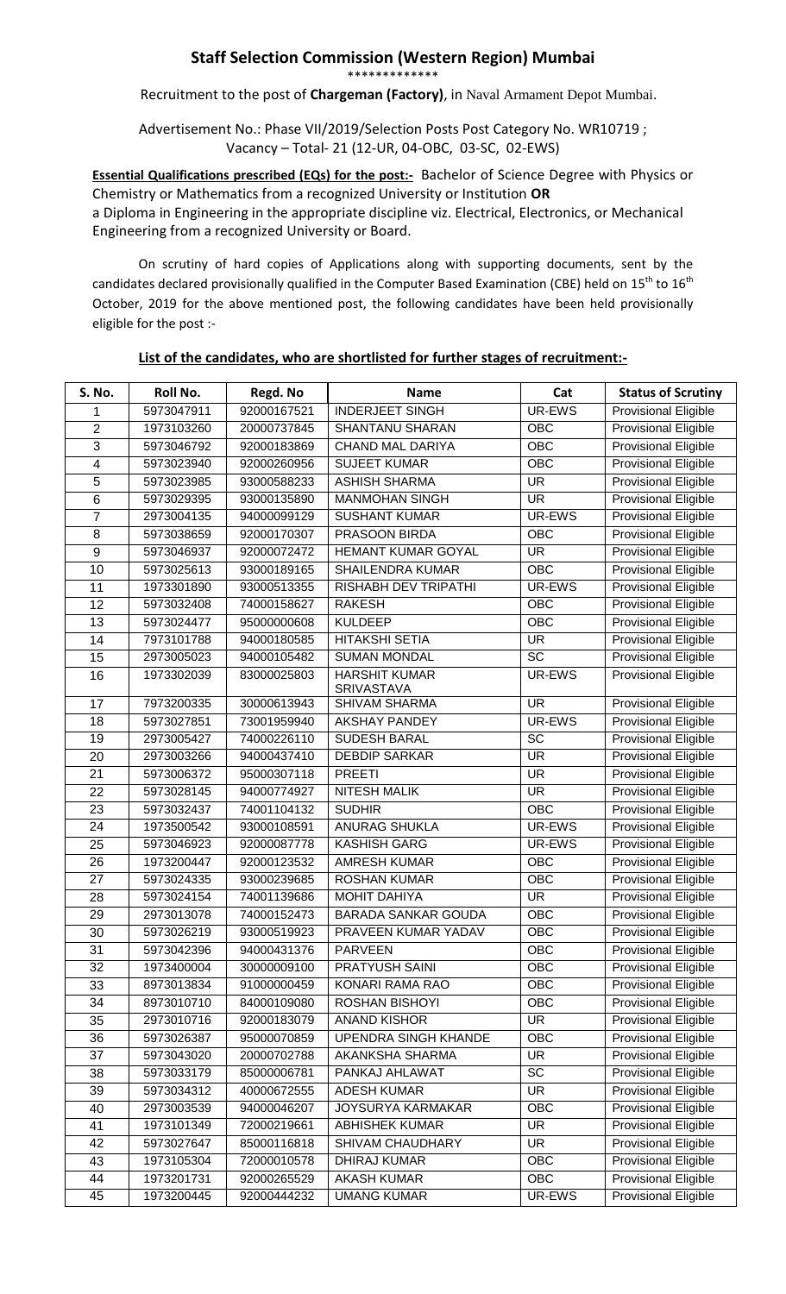## **Staff Selection Commission (Western Region) Mumbai**

\*\*\*\*\*\*\*\*\*\*\*\*\*

Recruitment to the post of **Chargeman (Factory)**, in Naval Armament Depot Mumbai.

Advertisement No.: Phase VII/2019/Selection Posts Post Category No. WR10719 ; Vacancy – Total- 21 (12-UR, 04-OBC, 03-SC, 02-EWS)

**Essential Qualifications prescribed (EQs) for the post:-** Bachelor of Science Degree with Physics or Chemistry or Mathematics from a recognized University or Institution **OR**  a Diploma in Engineering in the appropriate discipline viz. Electrical, Electronics, or Mechanical Engineering from a recognized University or Board.

On scrutiny of hard copies of Applications along with supporting documents, sent by the candidates declared provisionally qualified in the Computer Based Examination (CBE) held on 15<sup>th</sup> to 16<sup>th</sup> October, 2019 for the above mentioned post, the following candidates have been held provisionally eligible for the post :-

## **List of the candidates, who are shortlisted for further stages of recruitment:-**

| S. No.         | <b>Roll No.</b> | Regd. No    | <b>Name</b>                               | Cat                      | <b>Status of Scrutiny</b>   |
|----------------|-----------------|-------------|-------------------------------------------|--------------------------|-----------------------------|
| 1              | 5973047911      | 92000167521 | <b>INDERJEET SINGH</b>                    | UR-EWS                   | Provisional Eligible        |
| $\overline{2}$ | 1973103260      | 20000737845 | <b>SHANTANU SHARAN</b>                    | <b>OBC</b>               | <b>Provisional Eligible</b> |
| 3              | 5973046792      | 92000183869 | <b>CHAND MAL DARIYA</b>                   | <b>OBC</b>               | <b>Provisional Eligible</b> |
| 4              | 5973023940      | 92000260956 | <b>SUJEET KUMAR</b>                       | <b>OBC</b>               | <b>Provisional Eligible</b> |
| 5              | 5973023985      | 93000588233 | <b>ASHISH SHARMA</b>                      | <b>UR</b>                | Provisional Eligible        |
| 6              | 5973029395      | 93000135890 | <b>MANMOHAN SINGH</b>                     | <b>UR</b>                | Provisional Eligible        |
| $\overline{7}$ | 2973004135      | 94000099129 | <b>SUSHANT KUMAR</b>                      | UR-EWS                   | Provisional Eligible        |
| 8              | 5973038659      | 92000170307 | PRASOON BIRDA                             | OBC                      | Provisional Eligible        |
| 9              | 5973046937      | 92000072472 | HEMANT KUMAR GOYAL                        | <b>UR</b>                | <b>Provisional Eligible</b> |
| 10             | 5973025613      | 93000189165 | <b>SHAILENDRA KUMAR</b>                   | OBC                      | <b>Provisional Eligible</b> |
| 11             | 1973301890      | 93000513355 | <b>RISHABH DEV TRIPATHI</b>               | UR-EWS                   | Provisional Eligible        |
| 12             | 5973032408      | 74000158627 | <b>RAKESH</b>                             | $\overline{OBC}$         | <b>Provisional Eligible</b> |
| 13             | 5973024477      | 95000000608 | <b>KULDEEP</b>                            | <b>OBC</b>               | <b>Provisional Eligible</b> |
| 14             | 7973101788      | 94000180585 | <b>HITAKSHI SETIA</b>                     | <b>UR</b>                | Provisional Eligible        |
| 15             | 2973005023      | 94000105482 | <b>SUMAN MONDAL</b>                       | $\overline{SC}$          | <b>Provisional Eligible</b> |
| 16             | 1973302039      | 83000025803 | <b>HARSHIT KUMAR</b><br><b>SRIVASTAVA</b> | UR-EWS                   | <b>Provisional Eligible</b> |
| 17             | 7973200335      | 30000613943 | <b>SHIVAM SHARMA</b>                      | <b>UR</b>                | Provisional Eligible        |
| 18             | 5973027851      | 73001959940 | <b>AKSHAY PANDEY</b>                      | UR-EWS                   | <b>Provisional Eligible</b> |
| 19             | 2973005427      | 74000226110 | <b>SUDESH BARAL</b>                       | SC                       | <b>Provisional Eligible</b> |
| 20             | 2973003266      | 94000437410 | <b>DEBDIP SARKAR</b>                      | <b>UR</b>                | Provisional Eligible        |
| 21             | 5973006372      | 95000307118 | <b>PREETI</b>                             | <b>UR</b>                | <b>Provisional Eligible</b> |
| 22             | 5973028145      | 94000774927 | <b>NITESH MALIK</b>                       | <b>UR</b>                | Provisional Eligible        |
| 23             | 5973032437      | 74001104132 | <b>SUDHIR</b>                             | <b>OBC</b>               | Provisional Eligible        |
| 24             | 1973500542      | 93000108591 | ANURAG SHUKLA                             | UR-EWS                   | Provisional Eligible        |
| 25             | 5973046923      | 92000087778 | <b>KASHISH GARG</b>                       | UR-EWS                   | Provisional Eligible        |
| 26             | 1973200447      | 92000123532 | <b>AMRESH KUMAR</b>                       | <b>OBC</b>               | <b>Provisional Eligible</b> |
| 27             | 5973024335      | 93000239685 | <b>ROSHAN KUMAR</b>                       | <b>OBC</b>               | Provisional Eligible        |
| 28             | 5973024154      | 74001139686 | <b>MOHIT DAHIYA</b>                       | $\overline{\mathsf{UR}}$ | <b>Provisional Eligible</b> |
| 29             | 2973013078      | 74000152473 | <b>BARADA SANKAR GOUDA</b>                | <b>OBC</b>               | <b>Provisional Eligible</b> |
| 30             | 5973026219      | 93000519923 | PRAVEEN KUMAR YADAV                       | <b>OBC</b>               | <b>Provisional Eligible</b> |
| 31             | 5973042396      | 94000431376 | PARVEEN                                   | OBC                      | <b>Provisional Eligible</b> |
| 32             | 1973400004      | 30000009100 | PRATYUSH SAINI                            | <b>OBC</b>               | <b>Provisional Eligible</b> |
| 33             | 8973013834      | 91000000459 | KONARI RAMA RAO                           | <b>OBC</b>               | Provisional Eligible        |
| 34             | 8973010710      | 84000109080 | ROSHAN BISHOYI                            | <b>OBC</b>               | Provisional Eligible        |
| 35             | 2973010716      | 92000183079 | <b>ANAND KISHOR</b>                       | <b>UR</b>                | Provisional Eligible        |
| 36             | 5973026387      | 95000070859 | UPENDRA SINGH KHANDE                      | OBC                      | Provisional Eligible        |
| 37             | 5973043020      | 20000702788 | AKANKSHA SHARMA                           | UR                       | Provisional Eligible        |
| 38             | 5973033179      | 85000006781 | PANKAJ AHLAWAT                            | <b>SC</b>                | Provisional Eligible        |
| 39             | 5973034312      | 40000672555 | <b>ADESH KUMAR</b>                        | <b>UR</b>                | <b>Provisional Eligible</b> |
| 40             | 2973003539      | 94000046207 | <b>JOYSURYA KARMAKAR</b>                  | <b>OBC</b>               | Provisional Eligible        |
| 41             | 1973101349      | 72000219661 | <b>ABHISHEK KUMAR</b>                     | <b>UR</b>                | Provisional Eligible        |
| 42             | 5973027647      | 85000116818 | SHIVAM CHAUDHARY                          | <b>UR</b>                | Provisional Eligible        |
| 43             | 1973105304      | 72000010578 | DHIRAJ KUMAR                              | OBC                      | <b>Provisional Eligible</b> |
| 44             | 1973201731      | 92000265529 | <b>AKASH KUMAR</b>                        | <b>OBC</b>               | Provisional Eligible        |
| 45             | 1973200445      | 92000444232 | <b>UMANG KUMAR</b>                        | UR-EWS                   | Provisional Eligible        |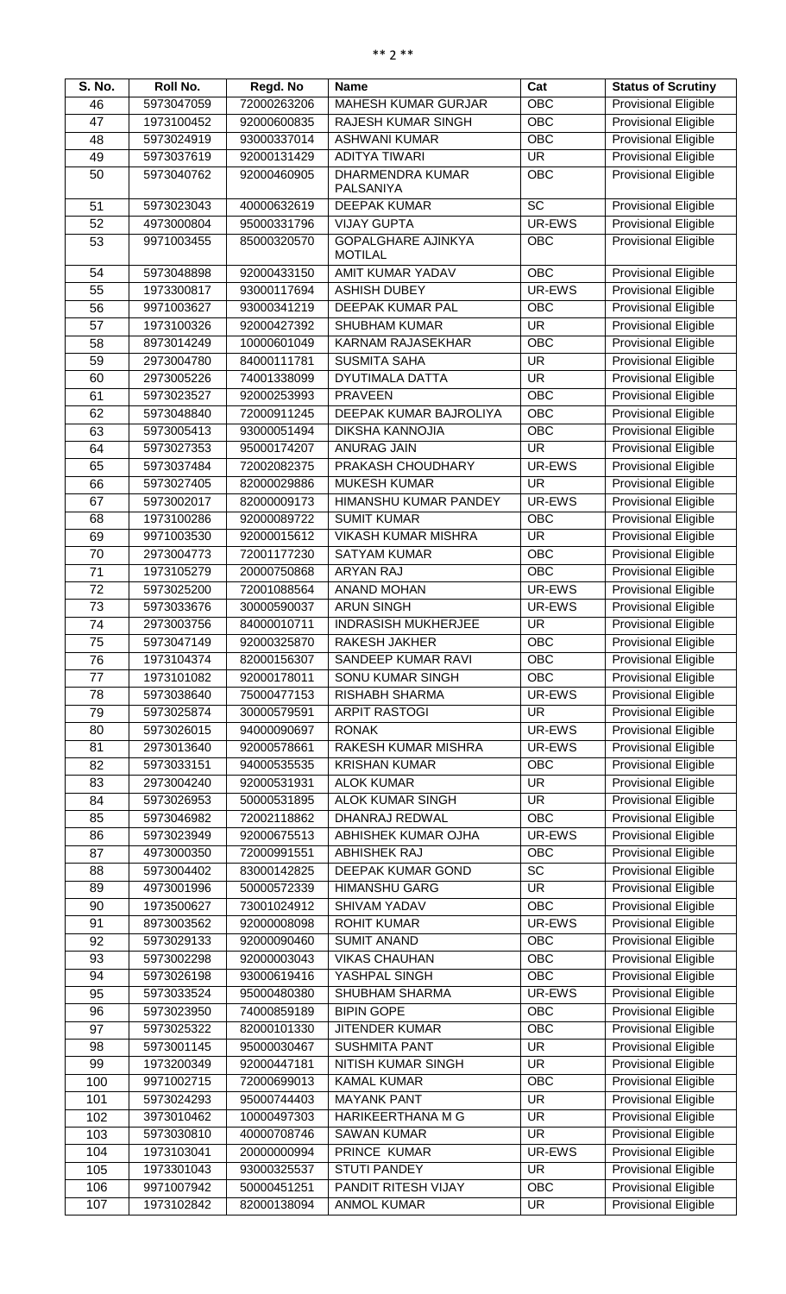| S. No. | Roll No.   | Regd. No    | <b>Name</b>                  | Cat                      | <b>Status of Scrutiny</b>   |
|--------|------------|-------------|------------------------------|--------------------------|-----------------------------|
| 46     | 5973047059 | 72000263206 | <b>MAHESH KUMAR GURJAR</b>   | <b>OBC</b>               | Provisional Eligible        |
| 47     | 1973100452 | 92000600835 | <b>RAJESH KUMAR SINGH</b>    | OBC                      | <b>Provisional Eligible</b> |
| 48     | 5973024919 | 93000337014 | <b>ASHWANI KUMAR</b>         | <b>OBC</b>               | Provisional Eligible        |
| 49     | 5973037619 | 92000131429 | <b>ADITYA TIWARI</b>         | <b>UR</b>                | <b>Provisional Eligible</b> |
| 50     | 5973040762 | 92000460905 | <b>DHARMENDRA KUMAR</b>      | <b>OBC</b>               | Provisional Eligible        |
|        |            |             | PALSANIYA                    |                          |                             |
| 51     | 5973023043 | 40000632619 | <b>DEEPAK KUMAR</b>          | $\overline{SC}$          | <b>Provisional Eligible</b> |
| 52     | 4973000804 | 95000331796 | <b>VIJAY GUPTA</b>           | UR-EWS                   | <b>Provisional Eligible</b> |
| 53     | 9971003455 | 85000320570 | <b>GOPALGHARE AJINKYA</b>    | <b>OBC</b>               | <b>Provisional Eligible</b> |
|        |            |             | <b>MOTILAL</b>               |                          |                             |
| 54     | 5973048898 | 92000433150 | AMIT KUMAR YADAV             | <b>OBC</b>               | <b>Provisional Eligible</b> |
| 55     | 1973300817 | 93000117694 | <b>ASHISH DUBEY</b>          | UR-EWS                   | <b>Provisional Eligible</b> |
| 56     | 9971003627 | 93000341219 | DEEPAK KUMAR PAL             | OBC                      | Provisional Eligible        |
| 57     | 1973100326 | 92000427392 | <b>SHUBHAM KUMAR</b>         | <b>UR</b>                | <b>Provisional Eligible</b> |
| 58     | 8973014249 | 10000601049 | KARNAM RAJASEKHAR            | <b>OBC</b>               | Provisional Eligible        |
| 59     | 2973004780 | 84000111781 | <b>SUSMITA SAHA</b>          | <b>UR</b>                | Provisional Eligible        |
| 60     | 2973005226 | 74001338099 | <b>DYUTIMALA DATTA</b>       | <b>UR</b>                | Provisional Eligible        |
| 61     | 5973023527 | 92000253993 | <b>PRAVEEN</b>               | <b>OBC</b>               | <b>Provisional Eligible</b> |
| 62     | 5973048840 | 72000911245 | DEEPAK KUMAR BAJROLIYA       | OBC                      | <b>Provisional Eligible</b> |
| 63     | 5973005413 | 93000051494 | <b>DIKSHA KANNOJIA</b>       | OBC                      | Provisional Eligible        |
| 64     | 5973027353 | 95000174207 | <b>ANURAG JAIN</b>           | <b>UR</b>                | <b>Provisional Eligible</b> |
| 65     | 5973037484 | 72002082375 | PRAKASH CHOUDHARY            | UR-EWS                   | Provisional Eligible        |
| 66     | 5973027405 | 82000029886 | <b>MUKESH KUMAR</b>          | <b>UR</b>                | Provisional Eligible        |
| 67     | 5973002017 | 82000009173 | <b>HIMANSHU KUMAR PANDEY</b> | UR-EWS                   | Provisional Eligible        |
| 68     | 1973100286 | 92000089722 | <b>SUMIT KUMAR</b>           | <b>OBC</b>               | Provisional Eligible        |
| 69     | 9971003530 | 92000015612 | <b>VIKASH KUMAR MISHRA</b>   | <b>UR</b>                | Provisional Eligible        |
| 70     | 2973004773 | 72001177230 | <b>SATYAM KUMAR</b>          | OBC                      | <b>Provisional Eligible</b> |
| 71     | 1973105279 | 20000750868 | <b>ARYAN RAJ</b>             | <b>OBC</b>               | <b>Provisional Eligible</b> |
| 72     | 5973025200 | 72001088564 | <b>ANAND MOHAN</b>           | UR-EWS                   | <b>Provisional Eligible</b> |
| 73     | 5973033676 | 30000590037 | <b>ARUN SINGH</b>            | UR-EWS                   | <b>Provisional Eligible</b> |
| 74     | 2973003756 | 84000010711 | <b>INDRASISH MUKHERJEE</b>   | <b>UR</b>                | <b>Provisional Eligible</b> |
| 75     | 5973047149 | 92000325870 | <b>RAKESH JAKHER</b>         | <b>OBC</b>               | <b>Provisional Eligible</b> |
| 76     | 1973104374 | 82000156307 | SANDEEP KUMAR RAVI           | <b>OBC</b>               | Provisional Eligible        |
| 77     | 1973101082 | 92000178011 | <b>SONU KUMAR SINGH</b>      | <b>OBC</b>               | Provisional Eligible        |
| 78     | 5973038640 | 75000477153 | <b>RISHABH SHARMA</b>        | UR-EWS                   | Provisional Eligible        |
| 79     | 5973025874 | 30000579591 | <b>ARPIT RASTOGI</b>         | <b>UR</b>                | <b>Provisional Eligible</b> |
| 80     | 5973026015 | 94000090697 | <b>RONAK</b>                 | UR-EWS                   | Provisional Eligible        |
| 81     | 2973013640 | 92000578661 | RAKESH KUMAR MISHRA          | UR-EWS                   | Provisional Eligible        |
| 82     | 5973033151 | 94000535535 | <b>KRISHAN KUMAR</b>         | <b>OBC</b>               | Provisional Eligible        |
| 83     | 2973004240 | 92000531931 | <b>ALOK KUMAR</b>            | $\overline{\mathsf{UR}}$ | <b>Provisional Eligible</b> |
| 84     | 5973026953 | 50000531895 | <b>ALOK KUMAR SINGH</b>      | <b>UR</b>                | Provisional Eligible        |
|        | 5973046982 | 72002118862 | DHANRAJ REDWAL               | $\overline{OBC}$         | <b>Provisional Eligible</b> |
| 85     |            |             |                              | UR-EWS                   |                             |
| 86     | 5973023949 | 92000675513 | ABHISHEK KUMAR OJHA          |                          | <b>Provisional Eligible</b> |
| 87     | 4973000350 | 72000991551 | <b>ABHISHEK RAJ</b>          | OBC                      | Provisional Eligible        |
| 88     | 5973004402 | 83000142825 | DEEPAK KUMAR GOND            | $\overline{SC}$          | Provisional Eligible        |
| 89     | 4973001996 | 50000572339 | <b>HIMANSHU GARG</b>         | <b>UR</b>                | Provisional Eligible        |
| 90     | 1973500627 | 73001024912 | SHIVAM YADAV                 | OBC                      | <b>Provisional Eligible</b> |
| 91     | 8973003562 | 92000008098 | <b>ROHIT KUMAR</b>           | UR-EWS                   | Provisional Eligible        |
| 92     | 5973029133 | 92000090460 | <b>SUMIT ANAND</b>           | <b>OBC</b>               | <b>Provisional Eligible</b> |
| 93     | 5973002298 | 92000003043 | <b>VIKAS CHAUHAN</b>         | <b>OBC</b>               | Provisional Eligible        |
| 94     | 5973026198 | 93000619416 | YASHPAL SINGH                | OBC                      | <b>Provisional Eligible</b> |
| 95     | 5973033524 | 95000480380 | <b>SHUBHAM SHARMA</b>        | UR-EWS                   | Provisional Eligible        |
| 96     | 5973023950 | 74000859189 | <b>BIPIN GOPE</b>            | <b>OBC</b>               | <b>Provisional Eligible</b> |
| 97     | 5973025322 | 82000101330 | <b>JITENDER KUMAR</b>        | <b>OBC</b>               | <b>Provisional Eligible</b> |
| 98     | 5973001145 | 95000030467 | <b>SUSHMITA PANT</b>         | <b>UR</b>                | Provisional Eligible        |
| 99     | 1973200349 | 92000447181 | NITISH KUMAR SINGH           | <b>UR</b>                | <b>Provisional Eligible</b> |
| 100    | 9971002715 | 72000699013 | <b>KAMAL KUMAR</b>           | <b>OBC</b>               | <b>Provisional Eligible</b> |
| 101    | 5973024293 | 95000744403 | <b>MAYANK PANT</b>           | <b>UR</b>                | <b>Provisional Eligible</b> |
| 102    | 3973010462 | 10000497303 | HARIKEERTHANA M G            | <b>UR</b>                | Provisional Eligible        |
| 103    | 5973030810 | 40000708746 | <b>SAWAN KUMAR</b>           | <b>UR</b>                | Provisional Eligible        |
| 104    | 1973103041 | 20000000994 | PRINCE KUMAR                 | UR-EWS                   | Provisional Eligible        |
| 105    | 1973301043 | 93000325537 | <b>STUTI PANDEY</b>          | <b>UR</b>                | Provisional Eligible        |
| 106    | 9971007942 | 50000451251 | PANDIT RITESH VIJAY          | <b>OBC</b>               | <b>Provisional Eligible</b> |
| 107    | 1973102842 | 82000138094 | <b>ANMOL KUMAR</b>           | <b>UR</b>                | Provisional Eligible        |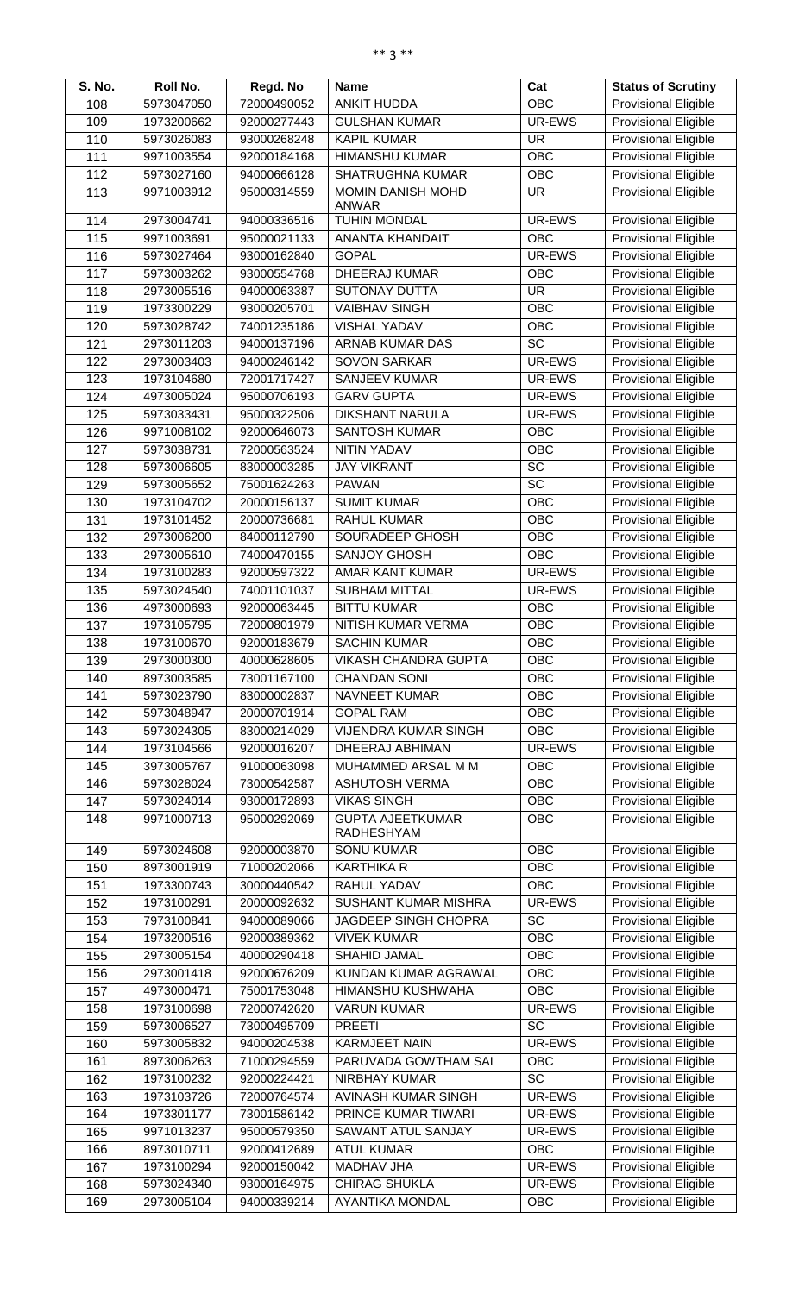| S. No. | Roll No.   | Regd. No    | <b>Name</b>                 | Cat             | <b>Status of Scrutiny</b>   |
|--------|------------|-------------|-----------------------------|-----------------|-----------------------------|
| 108    | 5973047050 | 72000490052 | <b>ANKIT HUDDA</b>          | OBC             | <b>Provisional Eligible</b> |
| 109    | 1973200662 | 92000277443 | <b>GULSHAN KUMAR</b>        | UR-EWS          | <b>Provisional Eligible</b> |
| 110    | 5973026083 | 93000268248 | <b>KAPIL KUMAR</b>          | <b>UR</b>       | Provisional Eligible        |
| 111    | 9971003554 | 92000184168 | <b>HIMANSHU KUMAR</b>       | OBC             | <b>Provisional Eligible</b> |
| 112    | 5973027160 | 94000666128 | <b>SHATRUGHNA KUMAR</b>     | <b>OBC</b>      | Provisional Eligible        |
| 113    | 9971003912 | 95000314559 | MOMIN DANISH MOHD           | <b>UR</b>       | <b>Provisional Eligible</b> |
|        |            |             | <b>ANWAR</b>                |                 |                             |
| 114    | 2973004741 | 94000336516 | <b>TUHIN MONDAL</b>         | UR-EWS          | <b>Provisional Eligible</b> |
| 115    | 9971003691 | 95000021133 | <b>ANANTA KHANDAIT</b>      | <b>OBC</b>      | <b>Provisional Eligible</b> |
| 116    | 5973027464 | 93000162840 | <b>GOPAL</b>                | UR-EWS          | <b>Provisional Eligible</b> |
| 117    | 5973003262 | 93000554768 | <b>DHEERAJ KUMAR</b>        | OBC             | <b>Provisional Eligible</b> |
| 118    | 2973005516 | 94000063387 | <b>SUTONAY DUTTA</b>        | <b>UR</b>       | Provisional Eligible        |
| 119    | 1973300229 | 93000205701 | <b>VAIBHAV SINGH</b>        | OBC             | Provisional Eligible        |
| 120    | 5973028742 | 74001235186 | <b>VISHAL YADAV</b>         | OBC             | <b>Provisional Eligible</b> |
| 121    | 2973011203 | 94000137196 | ARNAB KUMAR DAS             | $\overline{SC}$ | <b>Provisional Eligible</b> |
| 122    | 2973003403 | 94000246142 | <b>SOVON SARKAR</b>         | UR-EWS          | Provisional Eligible        |
| 123    | 1973104680 | 72001717427 | <b>SANJEEV KUMAR</b>        | UR-EWS          | <b>Provisional Eligible</b> |
| 124    | 4973005024 | 95000706193 | <b>GARV GUPTA</b>           | UR-EWS          | <b>Provisional Eligible</b> |
| 125    | 5973033431 | 95000322506 | <b>DIKSHANT NARULA</b>      | UR-EWS          | Provisional Eligible        |
| 126    | 9971008102 | 92000646073 | <b>SANTOSH KUMAR</b>        | OBC             | Provisional Eligible        |
| 127    | 5973038731 | 72000563524 | <b>NITIN YADAV</b>          | OBC             | Provisional Eligible        |
| 128    | 5973006605 | 83000003285 | <b>JAY VIKRANT</b>          | $\overline{SC}$ | Provisional Eligible        |
| 129    | 5973005652 | 75001624263 | <b>PAWAN</b>                | $\overline{SC}$ | Provisional Eligible        |
| 130    | 1973104702 | 20000156137 | <b>SUMIT KUMAR</b>          | <b>OBC</b>      | Provisional Eligible        |
| 131    | 1973101452 | 20000736681 | <b>RAHUL KUMAR</b>          | OBC             | <b>Provisional Eligible</b> |
| 132    | 2973006200 | 84000112790 | SOURADEEP GHOSH             | OBC             | <b>Provisional Eligible</b> |
| 133    | 2973005610 | 74000470155 | <b>SANJOY GHOSH</b>         | OBC             | Provisional Eligible        |
| 134    | 1973100283 | 92000597322 | <b>AMAR KANT KUMAR</b>      | UR-EWS          | <b>Provisional Eligible</b> |
| 135    | 5973024540 | 74001101037 | <b>SUBHAM MITTAL</b>        | UR-EWS          | <b>Provisional Eligible</b> |
| 136    | 4973000693 | 92000063445 | <b>BITTU KUMAR</b>          | <b>OBC</b>      | <b>Provisional Eligible</b> |
| 137    | 1973105795 | 72000801979 | NITISH KUMAR VERMA          | OBC             | <b>Provisional Eligible</b> |
| 138    | 1973100670 | 92000183679 | <b>SACHIN KUMAR</b>         | OBC             | <b>Provisional Eligible</b> |
| 139    | 2973000300 | 40000628605 | <b>VIKASH CHANDRA GUPTA</b> | OBC             | <b>Provisional Eligible</b> |
| 140    | 8973003585 | 73001167100 | <b>CHANDAN SONI</b>         | OBC             | Provisional Eligible        |
| 141    | 5973023790 | 83000002837 | <b>NAVNEET KUMAR</b>        | OBC             | Provisional Eligible        |
| 142    | 5973048947 | 20000701914 | <b>GOPAL RAM</b>            | OBC             | Provisional Eligible        |
| 143    | 5973024305 | 83000214029 | <b>VIJENDRA KUMAR SINGH</b> | OBC             | Provisional Eligible        |
| 144    | 1973104566 | 92000016207 | DHEERAJ ABHIMAN             | UR-EWS          | <b>Provisional Eligible</b> |
| 145    | 3973005767 | 91000063098 | MUHAMMED ARSAL M M          | <b>OBC</b>      | Provisional Eligible        |
| 146    | 5973028024 | 73000542587 | <b>ASHUTOSH VERMA</b>       | <b>OBC</b>      | Provisional Eligible        |
| 147    | 5973024014 | 93000172893 | <b>VIKAS SINGH</b>          | OBC             | <b>Provisional Eligible</b> |
| 148    | 9971000713 | 95000292069 | <b>GUPTA AJEETKUMAR</b>     | OBC             | <b>Provisional Eligible</b> |
|        |            |             | RADHESHYAM                  |                 |                             |
| 149    | 5973024608 | 92000003870 | <b>SONU KUMAR</b>           | <b>OBC</b>      | <b>Provisional Eligible</b> |
| 150    | 8973001919 | 71000202066 | <b>KARTHIKA R</b>           | OBC             | Provisional Eligible        |
| 151    | 1973300743 | 30000440542 | RAHUL YADAV                 | OBC             | Provisional Eligible        |
| 152    | 1973100291 | 20000092632 | <b>SUSHANT KUMAR MISHRA</b> | UR-EWS          | Provisional Eligible        |
| 153    | 7973100841 | 94000089066 | JAGDEEP SINGH CHOPRA        | $\overline{SC}$ | Provisional Eligible        |
| 154    | 1973200516 | 92000389362 | <b>VIVEK KUMAR</b>          | OBC             | Provisional Eligible        |
| 155    | 2973005154 | 40000290418 | SHAHID JAMAL                | OBC             | Provisional Eligible        |
| 156    | 2973001418 | 92000676209 | KUNDAN KUMAR AGRAWAL        | <b>OBC</b>      | Provisional Eligible        |
| 157    | 4973000471 | 75001753048 | <b>HIMANSHU KUSHWAHA</b>    | OBC             | Provisional Eligible        |
| 158    | 1973100698 | 72000742620 | <b>VARUN KUMAR</b>          | UR-EWS          | Provisional Eligible        |
| 159    | 5973006527 | 73000495709 | <b>PREETI</b>               | $\overline{SC}$ | <b>Provisional Eligible</b> |
| 160    | 5973005832 | 94000204538 | <b>KARMJEET NAIN</b>        | UR-EWS          | Provisional Eligible        |
| 161    | 8973006263 | 71000294559 | PARUVADA GOWTHAM SAI        | OBC             | Provisional Eligible        |
| 162    | 1973100232 | 92000224421 | <b>NIRBHAY KUMAR</b>        | <b>SC</b>       | <b>Provisional Eligible</b> |
| 163    | 1973103726 | 72000764574 | AVINASH KUMAR SINGH         | UR-EWS          | <b>Provisional Eligible</b> |
| 164    | 1973301177 | 73001586142 | PRINCE KUMAR TIWARI         | UR-EWS          | <b>Provisional Eligible</b> |
| 165    | 9971013237 | 95000579350 | SAWANT ATUL SANJAY          | UR-EWS          | Provisional Eligible        |
| 166    | 8973010711 | 92000412689 | <b>ATUL KUMAR</b>           | <b>OBC</b>      | <b>Provisional Eligible</b> |
| 167    | 1973100294 | 92000150042 | MADHAV JHA                  | UR-EWS          | Provisional Eligible        |
| 168    | 5973024340 | 93000164975 | <b>CHIRAG SHUKLA</b>        | UR-EWS          | <b>Provisional Eligible</b> |
| 169    | 2973005104 | 94000339214 | <b>AYANTIKA MONDAL</b>      | OBC             | <b>Provisional Eligible</b> |
|        |            |             |                             |                 |                             |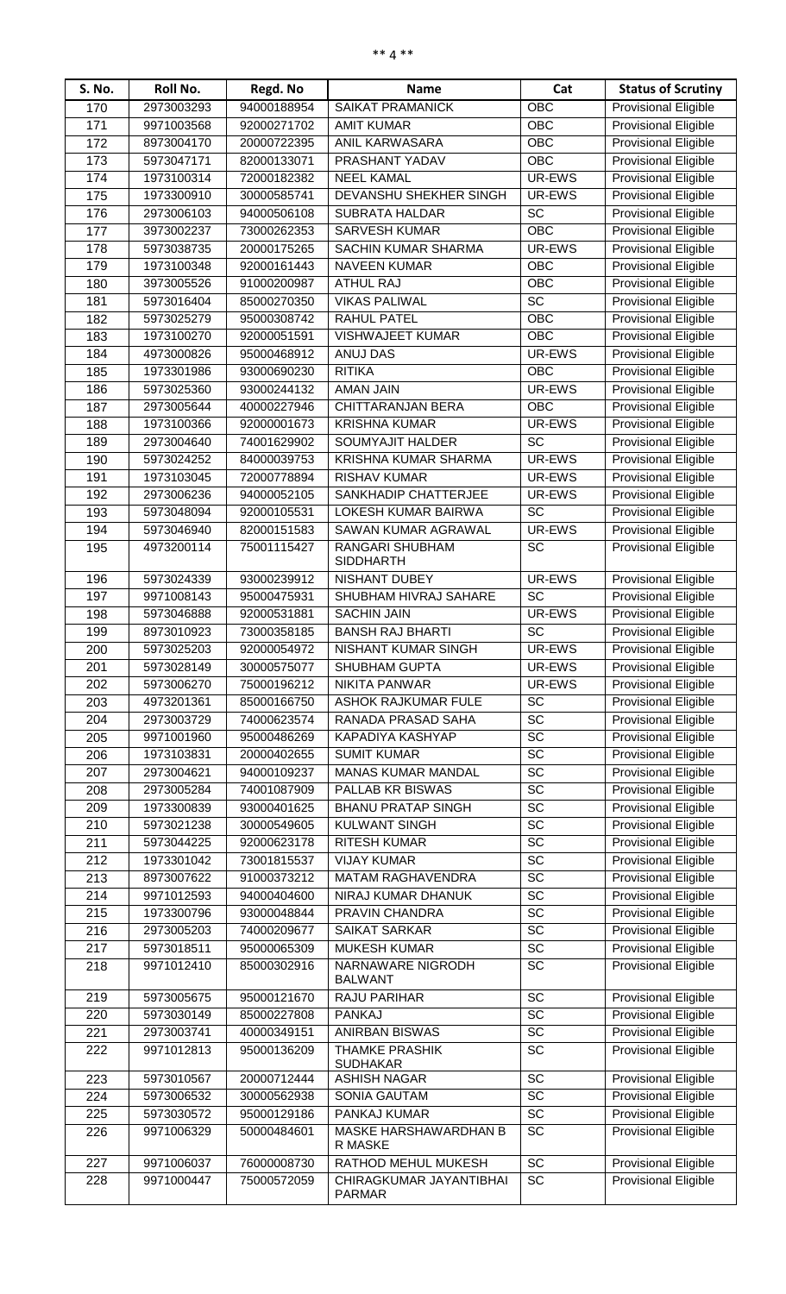| S. No.     | <b>Roll No.</b>          | Regd. No                   | <b>Name</b>                             | Cat                   | <b>Status of Scrutiny</b>                                  |
|------------|--------------------------|----------------------------|-----------------------------------------|-----------------------|------------------------------------------------------------|
| 170        | 2973003293               | 94000188954                | <b>SAIKAT PRAMANICK</b>                 | <b>OBC</b>            | <b>Provisional Eligible</b>                                |
| 171        | 9971003568               | 92000271702                | <b>AMIT KUMAR</b>                       | <b>OBC</b>            | <b>Provisional Eligible</b>                                |
| 172        | 8973004170               | 20000722395                | ANIL KARWASARA                          | <b>OBC</b>            | <b>Provisional Eligible</b>                                |
| 173        | 5973047171               | 82000133071                | PRASHANT YADAV                          | <b>OBC</b>            | <b>Provisional Eligible</b>                                |
| 174        | 1973100314               | 72000182382                | <b>NEEL KAMAL</b>                       | UR-EWS                | <b>Provisional Eligible</b>                                |
| 175        | 1973300910               | 30000585741                | DEVANSHU SHEKHER SINGH                  | UR-EWS                | <b>Provisional Eligible</b>                                |
| 176        | 2973006103               | 94000506108                | <b>SUBRATA HALDAR</b>                   | $\overline{SC}$       | <b>Provisional Eligible</b>                                |
| 177        | 3973002237               | 73000262353                | <b>SARVESH KUMAR</b>                    | OBC                   | <b>Provisional Eligible</b>                                |
| 178        | 5973038735               | 20000175265                | SACHIN KUMAR SHARMA                     | UR-EWS                | Provisional Eligible                                       |
| 179        | 1973100348               | 92000161443                | <b>NAVEEN KUMAR</b>                     | <b>OBC</b>            | <b>Provisional Eligible</b>                                |
| 180        | 3973005526               | 91000200987                | <b>ATHUL RAJ</b>                        | <b>OBC</b>            | Provisional Eligible                                       |
| 181        | 5973016404               | 85000270350                | <b>VIKAS PALIWAL</b>                    | <b>SC</b>             | <b>Provisional Eligible</b>                                |
| 182        | 5973025279               | 95000308742                | <b>RAHUL PATEL</b>                      | <b>OBC</b>            | <b>Provisional Eligible</b>                                |
| 183        | 1973100270               | 92000051591                | <b>VISHWAJEET KUMAR</b>                 | <b>OBC</b>            | <b>Provisional Eligible</b>                                |
| 184        | 4973000826               | 95000468912                | <b>ANUJ DAS</b>                         | UR-EWS                | <b>Provisional Eligible</b>                                |
| 185        | 1973301986               | 93000690230                | <b>RITIKA</b><br><b>AMAN JAIN</b>       | <b>OBC</b>            | <b>Provisional Eligible</b><br><b>Provisional Eligible</b> |
| 186        | 5973025360<br>2973005644 | 93000244132<br>40000227946 | CHITTARANJAN BERA                       | UR-EWS<br><b>OBC</b>  | <b>Provisional Eligible</b>                                |
| 187<br>188 | 1973100366               | 92000001673                | <b>KRISHNA KUMAR</b>                    | UR-EWS                | <b>Provisional Eligible</b>                                |
| 189        | 2973004640               | 74001629902                | SOUMYAJIT HALDER                        | <b>SC</b>             | <b>Provisional Eligible</b>                                |
| 190        | 5973024252               | 84000039753                | KRISHNA KUMAR SHARMA                    | UR-EWS                | <b>Provisional Eligible</b>                                |
| 191        | 1973103045               | 72000778894                | <b>RISHAV KUMAR</b>                     | UR-EWS                | <b>Provisional Eligible</b>                                |
| 192        | 2973006236               | 94000052105                | SANKHADIP CHATTERJEE                    | UR-EWS                | <b>Provisional Eligible</b>                                |
| 193        | 5973048094               | 92000105531                | LOKESH KUMAR BAIRWA                     | <b>SC</b>             | <b>Provisional Eligible</b>                                |
| 194        | 5973046940               | 82000151583                | SAWAN KUMAR AGRAWAL                     | UR-EWS                | <b>Provisional Eligible</b>                                |
| 195        | 4973200114               | 75001115427                | RANGARI SHUBHAM                         | SC                    | <b>Provisional Eligible</b>                                |
|            |                          |                            | <b>SIDDHARTH</b>                        |                       |                                                            |
| 196        | 5973024339               | 93000239912                | <b>NISHANT DUBEY</b>                    | UR-EWS                | <b>Provisional Eligible</b>                                |
| 197        | 9971008143               | 95000475931                | SHUBHAM HIVRAJ SAHARE                   | <b>SC</b>             | <b>Provisional Eligible</b>                                |
| 198        | 5973046888               | 92000531881                | <b>SACHIN JAIN</b>                      | UR-EWS                | <b>Provisional Eligible</b>                                |
| 199        | 8973010923               | 73000358185                | <b>BANSH RAJ BHARTI</b>                 | SC                    | <b>Provisional Eligible</b>                                |
| 200        | 5973025203               | 92000054972                | NISHANT KUMAR SINGH                     | UR-EWS                | Provisional Eligible                                       |
| 201        | 5973028149               | 30000575077                | SHUBHAM GUPTA                           | UR-EWS                | <b>Provisional Eligible</b>                                |
| 202        | 5973006270               | 75000196212                | NIKITA PANWAR                           | UR-EWS                | <b>Provisional Eligible</b>                                |
| 203        | 4973201361               | 85000166750                | ASHOK RAJKUMAR FULE                     | <b>SC</b>             | <b>Provisional Eligible</b>                                |
| 204        | 2973003729               | 74000623574                | RANADA PRASAD SAHA                      | SC                    | <b>Provisional Eligible</b>                                |
| 205        | 9971001960               | 95000486269                | KAPADIYA KASHYAP                        | SC                    | <b>Provisional Eligible</b>                                |
| 206        | 1973103831               | 20000402655                | <b>SUMIT KUMAR</b>                      | SC                    | <b>Provisional Eligible</b>                                |
| 207        | 2973004621               | 94000109237                | <b>MANAS KUMAR MANDAL</b>               | $\overline{SC}$       | <b>Provisional Eligible</b>                                |
| 208        | 2973005284               | 74001087909                | PALLAB KR BISWAS                        | SC                    | <b>Provisional Eligible</b>                                |
| 209        | 1973300839               | 93000401625                | <b>BHANU PRATAP SINGH</b>               | $\overline{SC}$       | <b>Provisional Eligible</b>                                |
| 210        | 5973021238               | 30000549605                | <b>KULWANT SINGH</b>                    | SC                    | <b>Provisional Eligible</b>                                |
| 211        | 5973044225               | 92000623178                | <b>RITESH KUMAR</b>                     | SC                    | <b>Provisional Eligible</b>                                |
| 212        | 1973301042               | 73001815537                | <b>VIJAY KUMAR</b><br>MATAM RAGHAVENDRA | SC<br>$\overline{SC}$ | <b>Provisional Eligible</b>                                |
| 213        | 8973007622               | 91000373212                |                                         | SC                    | <b>Provisional Eligible</b><br>Provisional Eligible        |
| 214<br>215 | 9971012593<br>1973300796 | 94000404600<br>93000048844 | NIRAJ KUMAR DHANUK<br>PRAVIN CHANDRA    | $\overline{SC}$       | <b>Provisional Eligible</b>                                |
| 216        | 2973005203               | 74000209677                | <b>SAIKAT SARKAR</b>                    | $\overline{SC}$       | <b>Provisional Eligible</b>                                |
| 217        | 5973018511               | 95000065309                | <b>MUKESH KUMAR</b>                     | $\overline{SC}$       | <b>Provisional Eligible</b>                                |
| 218        | 9971012410               | 85000302916                | NARNAWARE NIGRODH                       | SC                    | Provisional Eligible                                       |
|            |                          |                            | <b>BALWANT</b>                          |                       |                                                            |
| 219        | 5973005675               | 95000121670                | RAJU PARIHAR                            | $\overline{SC}$       | <b>Provisional Eligible</b>                                |
| 220        | 5973030149               | 85000227808                | <b>PANKAJ</b>                           | $\overline{SC}$       | <b>Provisional Eligible</b>                                |
| 221        | 2973003741               | 40000349151                | <b>ANIRBAN BISWAS</b>                   | <b>SC</b>             | <b>Provisional Eligible</b>                                |
| 222        | 9971012813               | 95000136209                | <b>THAMKE PRASHIK</b>                   | $\overline{SC}$       | <b>Provisional Eligible</b>                                |
|            |                          |                            | <b>SUDHAKAR</b>                         |                       | <b>Provisional Eligible</b>                                |
| 223        | 5973010567               | 20000712444                | <b>ASHISH NAGAR</b>                     | SC                    |                                                            |
| 224        | 5973006532<br>5973030572 | 30000562938                | <b>SONIA GAUTAM</b><br>PANKAJ KUMAR     | $\overline{SC}$<br>SC | <b>Provisional Eligible</b><br><b>Provisional Eligible</b> |
| 225<br>226 | 9971006329               | 95000129186<br>50000484601 | <b>MASKE HARSHAWARDHAN B</b>            | SC                    | <b>Provisional Eligible</b>                                |
|            |                          |                            | R MASKE                                 |                       |                                                            |
| 227        | 9971006037               | 76000008730                | RATHOD MEHUL MUKESH                     | SC                    | <b>Provisional Eligible</b>                                |
| 228        | 9971000447               | 75000572059                | CHIRAGKUMAR JAYANTIBHAI                 | SC                    | <b>Provisional Eligible</b>                                |
|            |                          |                            | <b>PARMAR</b>                           |                       |                                                            |